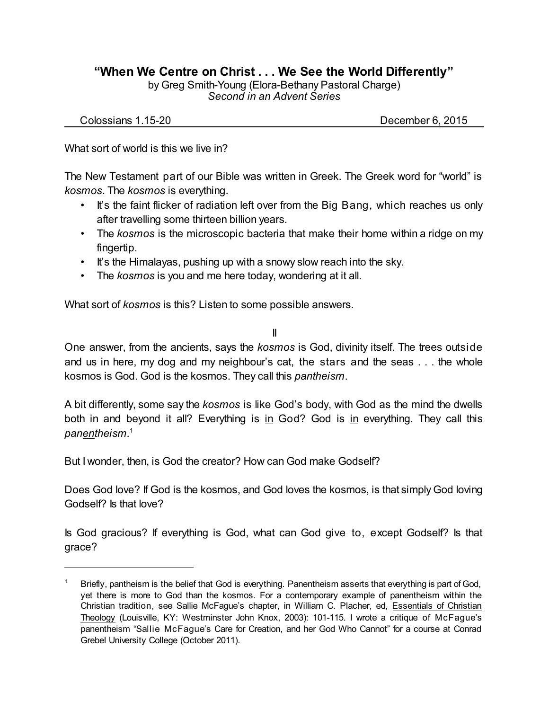## **"When We Centre on Christ . . . We See the World Differently"**

by Greg Smith-Young (Elora-Bethany Pastoral Charge) *Second in an Advent Series*

Colossians 1.15-20 December 6, 2015

What sort of world is this we live in?

The New Testament part of our Bible was written in Greek. The Greek word for "world" is *kosmos*. The *kosmos* is everything.

- It's the faint flicker of radiation left over from the Big Bang, which reaches us only after travelling some thirteen billion years.
- The *kosmos* is the microscopic bacteria that make their home within a ridge on my fingertip.
- It's the Himalayas, pushing up with a snowy slow reach into the sky.
- The *kosmos* is you and me here today, wondering at it all.

What sort of *kosmos* is this? Listen to some possible answers.

II

One answer, from the ancients, says the *kosmos* is God, divinity itself. The trees outside and us in here, my dog and my neighbour's cat, the stars and the seas . . . the whole kosmos is God. God is the kosmos. They call this *pantheism*.

A bit differently, some say the *kosmos* is like God's body, with God as the mind the dwells both in and beyond it all? Everything is in God? God is in everything. They call this *panentheism.* 1

But I wonder, then, is God the creator? How can God make Godself?

Does God love? If God is the kosmos, and God loves the kosmos, is that simply God loving Godself? Is that love?

Is God gracious? If everything is God, what can God give to, except Godself? Is that grace?

Briefly, pantheism is the belief that God is everything. Panentheism asserts that everything is part of God, yet there is more to God than the kosmos. For a contemporary example of panentheism within the Christian tradition, see Sallie McFague's chapter, in William C. Placher, ed, Essentials of Christian Theology (Louisville, KY: Westminster John Knox, 2003): 101-115. I wrote a critique of McFague's panentheism "Sallie McFague's Care for Creation, and her God Who Cannot" for a course at Conrad Grebel University College (October 2011).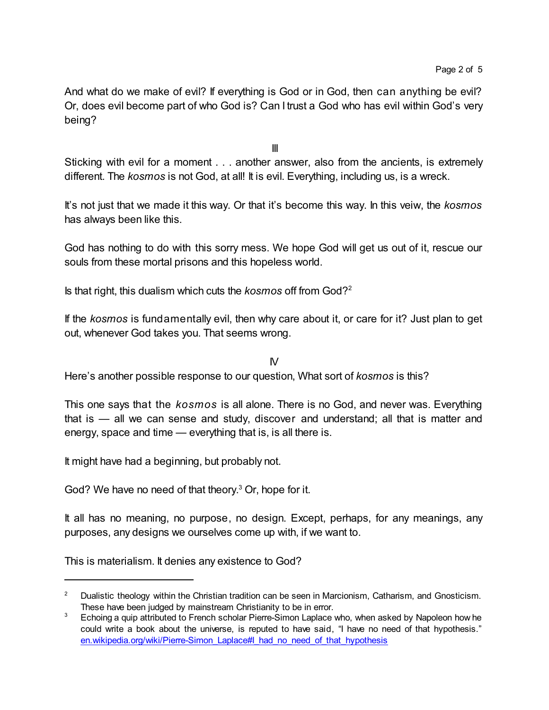And what do we make of evil? If everything is God or in God, then can anything be evil? Or, does evil become part of who God is? Can I trust a God who has evil within God's very being?

III

Sticking with evil for a moment . . . another answer, also from the ancients, is extremely different. The *kosmos* is not God, at all! It is evil. Everything, including us, is a wreck.

It's not just that we made it this way. Or that it's become this way. In this veiw, the *kosmos* has always been like this.

God has nothing to do with this sorry mess. We hope God will get us out of it, rescue our souls from these mortal prisons and this hopeless world.

Is that right, this dualism which cuts the *kosmos* off from God?<sup>2</sup>

If the *kosmos* is fundamentally evil, then why care about it, or care for it? Just plan to get out, whenever God takes you. That seems wrong.

 $N$ 

Here's another possible response to our question, What sort of *kosmos* is this?

This one says that the *kosmos* is all alone. There is no God, and never was. Everything that is — all we can sense and study, discover and understand; all that is matter and energy, space and time — everything that is, is all there is.

It might have had a beginning, but probably not.

God? We have no need of that theory. <sup>3</sup> Or, hope for it.

It all has no meaning, no purpose, no design. Except, perhaps, for any meanings, any purposes, any designs we ourselves come up with, if we want to.

This is materialism. It denies any existence to God?

<sup>&</sup>lt;sup>2</sup> Dualistic theology within the Christian tradition can be seen in Marcionism, Catharism, and Gnosticism. These have been judged by mainstream Christianity to be in error.

<sup>&</sup>lt;sup>3</sup> Echoing a quip attributed to French scholar Pierre-Simon Laplace who, when asked by Napoleon how he could write a book about the universe, is reputed to have said, "I have no need of that hypothesis." [en.wikipedia.org/wiki/Pierre-Simon\\_Laplace#I\\_had\\_no\\_need\\_of\\_that\\_hypothesis](https://en.wikipedia.org/wiki/Pierre-Simon_Laplace#I_had_no_need_of_that_hypothesis)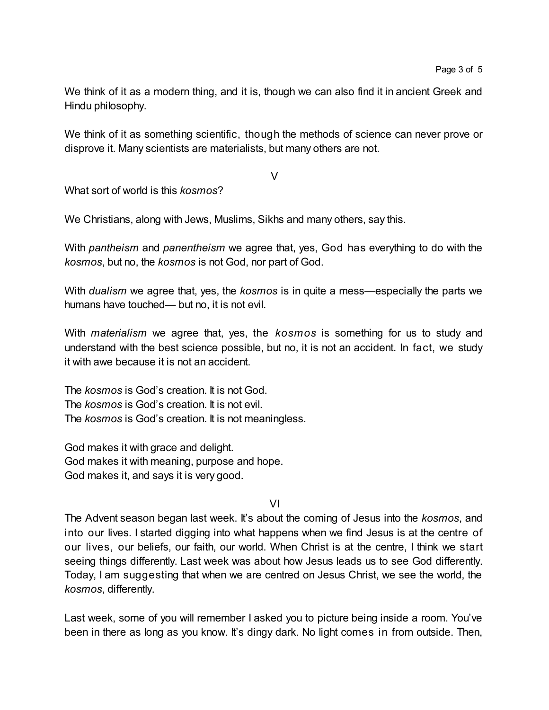We think of it as a modern thing, and it is, though we can also find it in ancient Greek and Hindu philosophy.

We think of it as something scientific, though the methods of science can never prove or disprove it. Many scientists are materialists, but many others are not.

V

What sort of world is this *kosmos*?

We Christians, along with Jews, Muslims, Sikhs and many others, say this.

With *pantheism* and *panentheism* we agree that, yes, God has everything to do with the *kosmos*, but no, the *kosmos* is not God, nor part of God.

With *dualism* we agree that, yes, the *kosmos* is in quite a mess—especially the parts we humans have touched— but no, it is not evil.

With *materialism* we agree that, yes, the *kosmos* is something for us to study and understand with the best science possible, but no, it is not an accident. In fact, we study it with awe because it is not an accident.

The *kosmos* is God's creation. It is not God. The *kosmos* is God's creation. It is not evil. The *kosmos* is God's creation. It is not meaningless.

God makes it with grace and delight. God makes it with meaning, purpose and hope. God makes it, and says it is very good.

VI

The Advent season began last week. It's about the coming of Jesus into the *kosmos*, and into our lives. I started digging into what happens when we find Jesus is at the centre of our lives, our beliefs, our faith, our world. When Christ is at the centre, I think we start seeing things differently. Last week was about how Jesus leads us to see God differently. Today, I am suggesting that when we are centred on Jesus Christ, we see the world, the *kosmos*, differently.

Last week, some of you will remember I asked you to picture being inside a room. You've been in there as long as you know. It's dingy dark. No light comes in from outside. Then,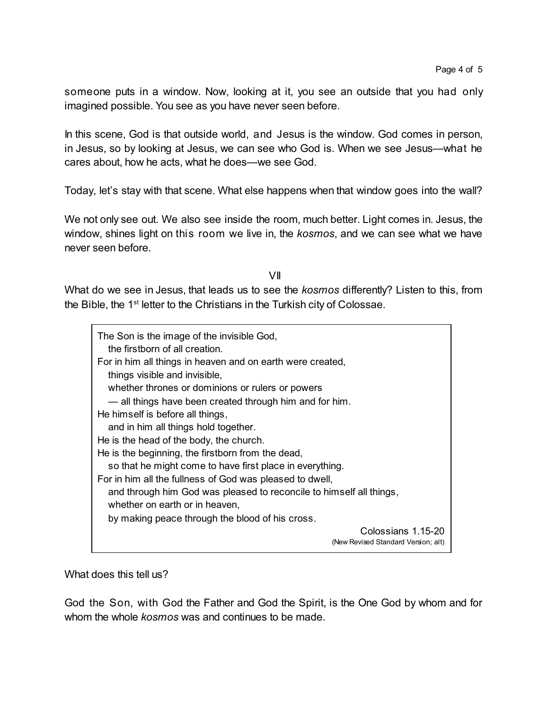someone puts in a window. Now, looking at it, you see an outside that you had only imagined possible. You see as you have never seen before.

In this scene, God is that outside world, and Jesus is the window. God comes in person, in Jesus, so by looking at Jesus, we can see who God is. When we see Jesus—what he cares about, how he acts, what he does—we see God.

Today, let's stay with that scene. What else happens when that window goes into the wall?

We not only see out. We also see inside the room, much better. Light comes in. Jesus, the window, shines light on this room we live in, the *kosmos*, and we can see what we have never seen before.

VII

What do we see in Jesus, that leads us to see the *kosmos* differently? Listen to this, from the Bible, the 1<sup>st</sup> letter to the Christians in the Turkish city of Colossae.

| The Son is the image of the invisible God,<br>the firstborn of all creation. |
|------------------------------------------------------------------------------|
| For in him all things in heaven and on earth were created,                   |
| things visible and invisible,                                                |
| whether thrones or dominions or rulers or powers                             |
| — all things have been created through him and for him.                      |
| He himself is before all things,                                             |
| and in him all things hold together.                                         |
| He is the head of the body, the church.                                      |
| He is the beginning, the firstborn from the dead,                            |
| so that he might come to have first place in everything.                     |
| For in him all the fullness of God was pleased to dwell,                     |
| and through him God was pleased to reconcile to himself all things,          |
| whether on earth or in heaven,                                               |
| by making peace through the blood of his cross.                              |
| Colossians 1.15-20<br>(New Revised Standard Version; alt)                    |

What does this tell us?

God the Son, with God the Father and God the Spirit, is the One God by whom and for whom the whole *kosmos* was and continues to be made.